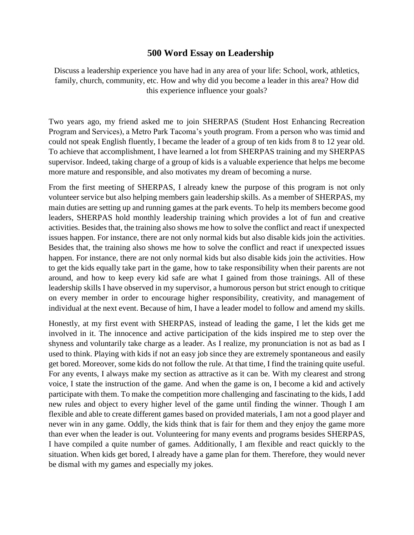## **500 Word Essay on Leadership**

Discuss a leadership experience you have had in any area of your life: School, work, athletics, family, church, community, etc. How and why did you become a leader in this area? How did this experience influence your goals?

Two years ago, my friend asked me to join SHERPAS (Student Host Enhancing Recreation Program and Services), a Metro Park Tacoma's youth program. From a person who was timid and could not speak English fluently, I became the leader of a group of ten kids from 8 to 12 year old. To achieve that accomplishment, I have learned a lot from SHERPAS training and my SHERPAS supervisor. Indeed, taking charge of a group of kids is a valuable experience that helps me become more mature and responsible, and also motivates my dream of becoming a nurse.

From the first meeting of SHERPAS, I already knew the purpose of this program is not only volunteer service but also helping members gain leadership skills. As a member of SHERPAS, my main duties are setting up and running games at the park events. To help its members become good leaders, SHERPAS hold monthly leadership training which provides a lot of fun and creative activities. Besides that, the training also shows me how to solve the conflict and react if unexpected issues happen. For instance, there are not only normal kids but also disable kids join the activities. Besides that, the training also shows me how to solve the conflict and react if unexpected issues happen. For instance, there are not only normal kids but also disable kids join the activities. How to get the kids equally take part in the game, how to take responsibility when their parents are not around, and how to keep every kid safe are what I gained from those trainings. All of these leadership skills I have observed in my supervisor, a humorous person but strict enough to critique on every member in order to encourage higher responsibility, creativity, and management of individual at the next event. Because of him, I have a leader model to follow and amend my skills.

Honestly, at my first event with SHERPAS, instead of leading the game, I let the kids get me involved in it. The innocence and active participation of the kids inspired me to step over the shyness and voluntarily take charge as a leader. As I realize, my pronunciation is not as bad as I used to think. Playing with kids if not an easy job since they are extremely spontaneous and easily get bored. Moreover, some kids do not follow the rule. At that time, I find the training quite useful. For any events, I always make my section as attractive as it can be. With my clearest and strong voice, I state the instruction of the game. And when the game is on, I become a kid and actively participate with them. To make the competition more challenging and fascinating to the kids, I add new rules and object to every higher level of the game until finding the winner. Though I am flexible and able to create different games based on provided materials, I am not a good player and never win in any game. Oddly, the kids think that is fair for them and they enjoy the game more than ever when the leader is out. Volunteering for many events and programs besides SHERPAS, I have compiled a quite number of games. Additionally, I am flexible and react quickly to the situation. When kids get bored, I already have a game plan for them. Therefore, they would never be dismal with my games and especially my jokes.